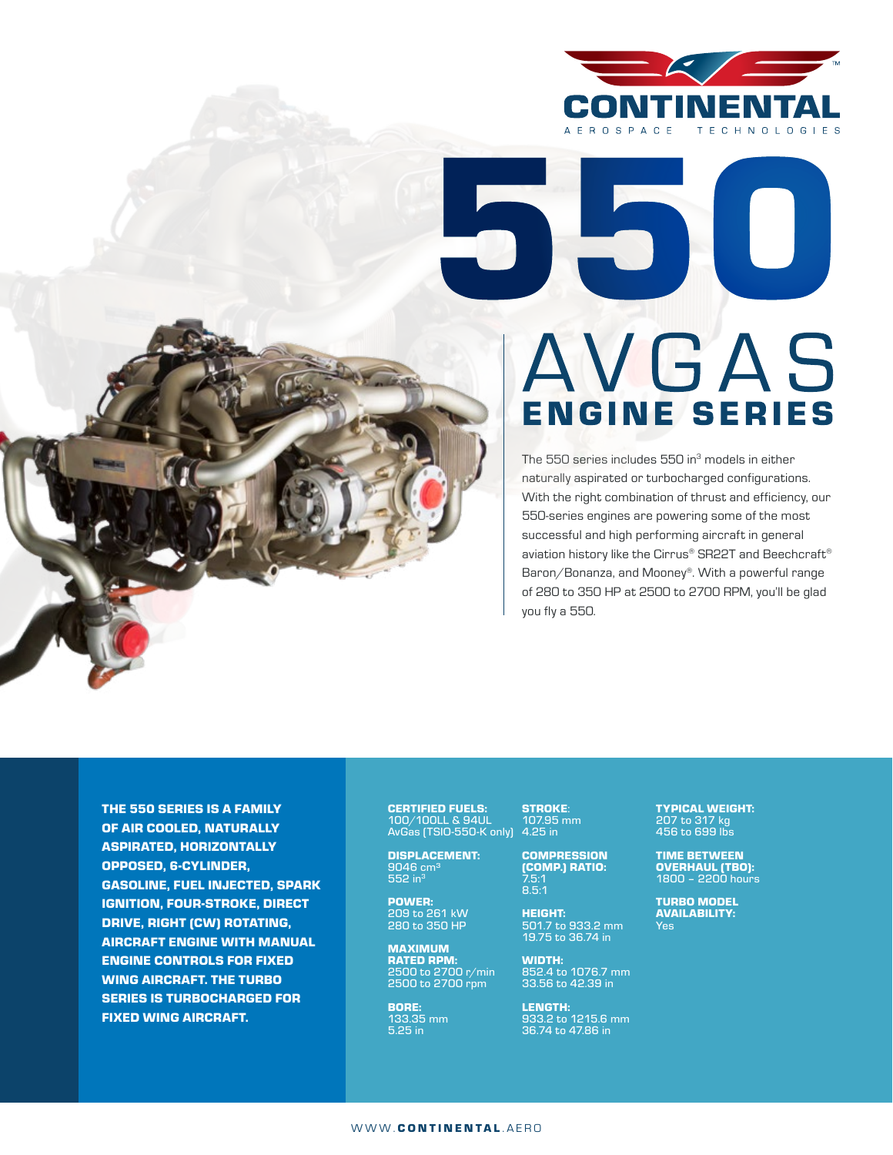

## AVGAS **ENGINE SERIES**

The 550 series includes 550 in<sup>3</sup> models in either naturally aspirated or turbocharged configurations. With the right combination of thrust and efficiency, our 550-series engines are powering some of the most successful and high performing aircraft in general aviation history like the Cirrus® SR22T and Beechcraft® Baron/Bonanza, and Mooney®. With a powerful range of 280 to 350 HP at 2500 to 2700 RPM, you'll be glad you fly a 550.

THE 550 SERIES IS A FAMILY OF AIR COOLED, NATURALLY ASPIRATED, HORIZONTALLY OPPOSED, 6-CYLINDER, GASOLINE, FUEL INJECTED, SPARK IGNITION, FOUR-STROKE, DIRECT DRIVE, RIGHT (CW) ROTATING, AIRCRAFT ENGINE WITH MANUAL ENGINE CONTROLS FOR FIXED WING AIRCRAFT. THE TURBO SERIES IS TURBOCHARGED FOR FIXED WING AIRCRAFT.

CERTIFIED FUELS: 100/100LL & 94UL AvGas (TSIO-550-K only)

DISPLACEMENT: 9046 cm<sup>3</sup> 552 in<sup>3</sup>

POWER: 209 to 261 kW 280 to 350 HP

MAXIMUM RATED RPM: 2500 to 2700 r/min 2500 to 2700 rpm

BORE: 133.35 mm 5.25 in

STROKE: 107.95 mm 4.25 in

> COMPRESSION (COMP.) RATIO: 7.5:1 8.5:1

HEIGHT: 501.7 to 933.2 mm 19.75 to 36.74 in

WIDTH: 852.4 to 1076.7 mm 33.56 to 42.39 in

LENGTH: 933.2 to 1215.6 mm 36.74 to 47.86 in

TYPICAL WEIGHT: 207 to 317 kg 456 to 699 lbs

TIME BETWEEN OVERHAUL (TBO): 1800 – 2200 hours

TURBO MODEL AVAILABILITY: Yes